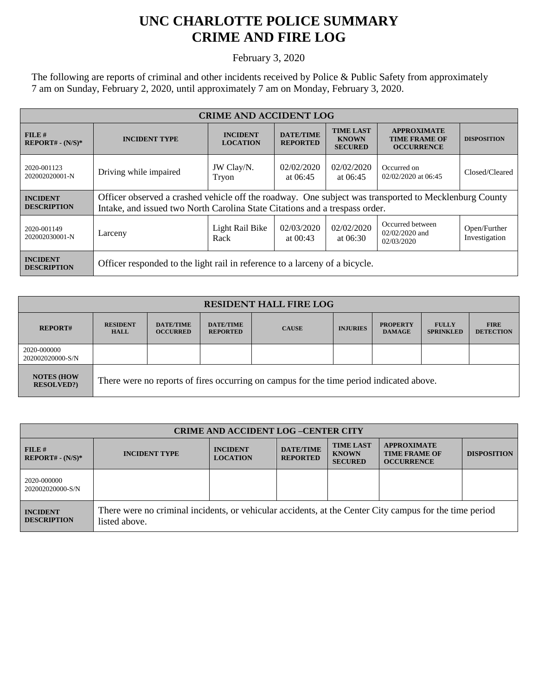## **UNC CHARLOTTE POLICE SUMMARY CRIME AND FIRE LOG**

February 3, 2020

The following are reports of criminal and other incidents received by Police & Public Safety from approximately 7 am on Sunday, February 2, 2020, until approximately 7 am on Monday, February 3, 2020.

| <b>CRIME AND ACCIDENT LOG</b>         |                                                                                                                                                                                      |                                    |                                     |                                                    |                                                                 |                               |  |
|---------------------------------------|--------------------------------------------------------------------------------------------------------------------------------------------------------------------------------------|------------------------------------|-------------------------------------|----------------------------------------------------|-----------------------------------------------------------------|-------------------------------|--|
| FILE#<br>$REPORT# - (N/S)*$           | <b>INCIDENT TYPE</b>                                                                                                                                                                 | <b>INCIDENT</b><br><b>LOCATION</b> | <b>DATE/TIME</b><br><b>REPORTED</b> | <b>TIME LAST</b><br><b>KNOWN</b><br><b>SECURED</b> | <b>APPROXIMATE</b><br><b>TIME FRAME OF</b><br><b>OCCURRENCE</b> | <b>DISPOSITION</b>            |  |
| 2020-001123<br>202002020001-N         | Driving while impaired                                                                                                                                                               | JW Clay/N.<br>Tryon                | 02/02/2020<br>at $06:45$            | 02/02/2020<br>at $06:45$                           | Occurred on<br>02/02/2020 at 06:45                              | Closed/Cleared                |  |
| <b>INCIDENT</b><br><b>DESCRIPTION</b> | Officer observed a crashed vehicle off the roadway. One subject was transported to Mecklenburg County<br>Intake, and issued two North Carolina State Citations and a trespass order. |                                    |                                     |                                                    |                                                                 |                               |  |
| 2020-001149<br>202002030001-N         | Larceny                                                                                                                                                                              | Light Rail Bike<br>Rack            | 02/03/2020<br>at $00:43$            | 02/02/2020<br>at $06:30$                           | Occurred between<br>$02/02/2020$ and<br>02/03/2020              | Open/Further<br>Investigation |  |
| <b>INCIDENT</b><br><b>DESCRIPTION</b> | Officer responded to the light rail in reference to a larceny of a bicycle.                                                                                                          |                                    |                                     |                                                    |                                                                 |                               |  |

| <b>RESIDENT HALL FIRE LOG</b>         |                                                                                         |                                     |                                     |              |                 |                                  |                                  |                                 |
|---------------------------------------|-----------------------------------------------------------------------------------------|-------------------------------------|-------------------------------------|--------------|-----------------|----------------------------------|----------------------------------|---------------------------------|
| <b>REPORT#</b>                        | <b>RESIDENT</b><br><b>HALL</b>                                                          | <b>DATE/TIME</b><br><b>OCCURRED</b> | <b>DATE/TIME</b><br><b>REPORTED</b> | <b>CAUSE</b> | <b>INJURIES</b> | <b>PROPERTY</b><br><b>DAMAGE</b> | <b>FULLY</b><br><b>SPRINKLED</b> | <b>FIRE</b><br><b>DETECTION</b> |
| 2020-000000<br>202002020000-S/N       |                                                                                         |                                     |                                     |              |                 |                                  |                                  |                                 |
| <b>NOTES (HOW</b><br><b>RESOLVED?</b> | There were no reports of fires occurring on campus for the time period indicated above. |                                     |                                     |              |                 |                                  |                                  |                                 |

| <b>CRIME AND ACCIDENT LOG-CENTER CITY</b> |                                                                                                                          |                                    |                                     |                                                    |                                                                 |                    |
|-------------------------------------------|--------------------------------------------------------------------------------------------------------------------------|------------------------------------|-------------------------------------|----------------------------------------------------|-----------------------------------------------------------------|--------------------|
| FILE#<br>$REPORT# - (N/S)*$               | <b>INCIDENT TYPE</b>                                                                                                     | <b>INCIDENT</b><br><b>LOCATION</b> | <b>DATE/TIME</b><br><b>REPORTED</b> | <b>TIME LAST</b><br><b>KNOWN</b><br><b>SECURED</b> | <b>APPROXIMATE</b><br><b>TIME FRAME OF</b><br><b>OCCURRENCE</b> | <b>DISPOSITION</b> |
| 2020-000000<br>202002020000-S/N           |                                                                                                                          |                                    |                                     |                                                    |                                                                 |                    |
| <b>INCIDENT</b><br><b>DESCRIPTION</b>     | There were no criminal incidents, or vehicular accidents, at the Center City campus for the time period<br>listed above. |                                    |                                     |                                                    |                                                                 |                    |